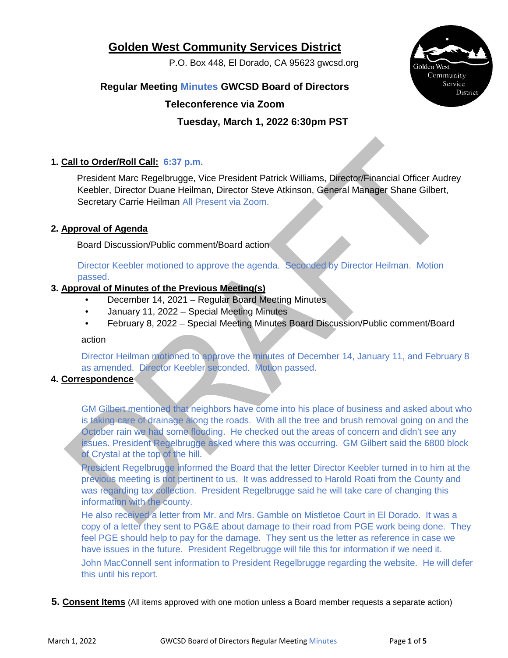# **Golden West Community Services District**

P.O. Box 448, El Dorado, CA 95623 gwcsd.org



## **Regular Meeting Minutes GWCSD Board of Directors**

## **Teleconference via Zoom**

## **Tuesday, March 1, 2022 6:30pm PST**

## **1. Call to Order/Roll Call: 6:37 p.m.**

President Marc Regelbrugge, Vice President Patrick Williams, Director/Financial Officer Audrey Keebler, Director Duane Heilman, Director Steve Atkinson, General Manager Shane Gilbert, Secretary Carrie Heilman All Present via Zoom.

## **2. Approval of Agenda**

Board Discussion/Public comment/Board action

Director Keebler motioned to approve the agenda. Seconded by Director Heilman. Motion passed.

#### **3. Approval of Minutes of the Previous Meeting(s)**

- December 14, 2021 Regular Board Meeting Minutes
- January 11, 2022 Special Meeting Minutes
- February 8, 2022 Special Meeting Minutes Board Discussion/Public comment/Board

#### action

Director Heilman motioned to approve the minutes of December 14, January 11, and February 8 as amended. Director Keebler seconded. Motion passed.

#### **4. Correspondence**

GM Gilbert mentioned that neighbors have come into his place of business and asked about who is taking care of drainage along the roads. With all the tree and brush removal going on and the October rain we had some flooding. He checked out the areas of concern and didn't see any issues. President Regelbrugge asked where this was occurring. GM Gilbert said the 6800 block of Crystal at the top of the hill.

President Regelbrugge informed the Board that the letter Director Keebler turned in to him at the previous meeting is not pertinent to us. It was addressed to Harold Roati from the County and was regarding tax collection. President Regelbrugge said he will take care of changing this information with the county.

He also received a letter from Mr. and Mrs. Gamble on Mistletoe Court in El Dorado. It was a copy of a letter they sent to PG&E about damage to their road from PGE work being done. They feel PGE should help to pay for the damage. They sent us the letter as reference in case we have issues in the future. President Regelbrugge will file this for information if we need it. John MacConnell sent information to President Regelbrugge regarding the website. He will defer this until his report.

#### **5. Consent Items** (All items approved with one motion unless a Board member requests a separate action)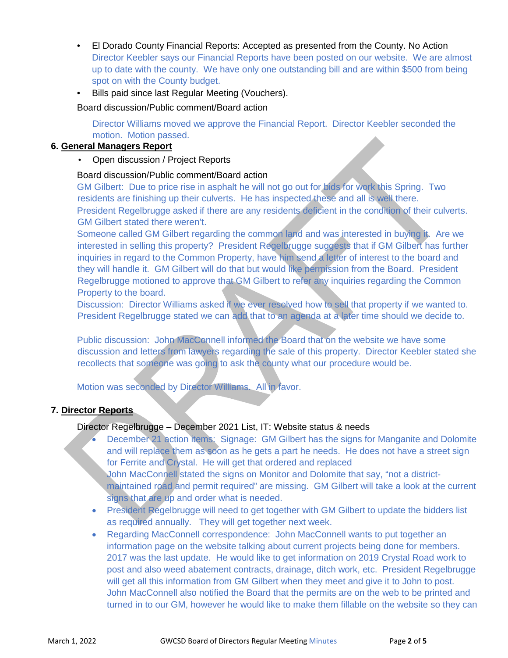- El Dorado County Financial Reports: Accepted as presented from the County. No Action Director Keebler says our Financial Reports have been posted on our website. We are almost up to date with the county. We have only one outstanding bill and are within \$500 from being spot on with the County budget.
- Bills paid since last Regular Meeting (Vouchers).

Board discussion/Public comment/Board action

Director Williams moved we approve the Financial Report. Director Keebler seconded the motion. Motion passed.

## **6. General Managers Report**

• Open discussion / Project Reports

#### Board discussion/Public comment/Board action

GM Gilbert: Due to price rise in asphalt he will not go out for bids for work this Spring. Two residents are finishing up their culverts. He has inspected these and all is well there. President Regelbrugge asked if there are any residents deficient in the condition of their culverts. GM Gilbert stated there weren't.

Someone called GM Gilbert regarding the common land and was interested in buying it. Are we interested in selling this property? President Regelbrugge suggests that if GM Gilbert has further inquiries in regard to the Common Property, have him send a letter of interest to the board and they will handle it. GM Gilbert will do that but would like permission from the Board. President Regelbrugge motioned to approve that GM Gilbert to refer any inquiries regarding the Common Property to the board.

Discussion: Director Williams asked if we ever resolved how to sell that property if we wanted to. President Regelbrugge stated we can add that to an agenda at a later time should we decide to.

Public discussion: John MacConnell informed the Board that on the website we have some discussion and letters from lawyers regarding the sale of this property. Director Keebler stated she recollects that someone was going to ask the county what our procedure would be.

Motion was seconded by Director Williams. All in favor.

#### **7. Director Reports**

#### Director Regelbrugge – December 2021 List, IT: Website status & needs

- December 21 action items: Signage: GM Gilbert has the signs for Manganite and Dolomite and will replace them as soon as he gets a part he needs. He does not have a street sign for Ferrite and Crystal. He will get that ordered and replaced John MacConnell stated the signs on Monitor and Dolomite that say, "not a districtmaintained road and permit required" are missing. GM Gilbert will take a look at the current signs that are up and order what is needed.
- President Regelbrugge will need to get together with GM Gilbert to update the bidders list as required annually. They will get together next week.
- Regarding MacConnell correspondence: John MacConnell wants to put together an information page on the website talking about current projects being done for members. 2017 was the last update. He would like to get information on 2019 Crystal Road work to post and also weed abatement contracts, drainage, ditch work, etc. President Regelbrugge will get all this information from GM Gilbert when they meet and give it to John to post. John MacConnell also notified the Board that the permits are on the web to be printed and turned in to our GM, however he would like to make them fillable on the website so they can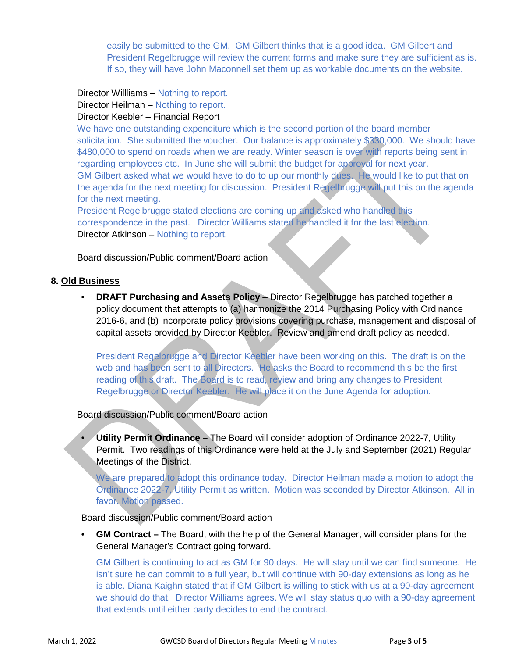easily be submitted to the GM. GM Gilbert thinks that is a good idea. GM Gilbert and President Regelbrugge will review the current forms and make sure they are sufficient as is. If so, they will have John Maconnell set them up as workable documents on the website.

Director Willliams – Nothing to report.

Director Heilman – Nothing to report.

#### Director Keebler – Financial Report

We have one outstanding expenditure which is the second portion of the board member solicitation. She submitted the voucher. Our balance is approximately \$330,000. We should have \$480,000 to spend on roads when we are ready. Winter season is over with reports being sent in regarding employees etc. In June she will submit the budget for approval for next year. GM Gilbert asked what we would have to do to up our monthly dues. He would like to put that on the agenda for the next meeting for discussion. President Regelbrugge will put this on the agenda for the next meeting.

President Regelbrugge stated elections are coming up and asked who handled this correspondence in the past. Director Williams stated he handled it for the last election. Director Atkinson – Nothing to report.

Board discussion/Public comment/Board action

#### **8. Old Business**

• **DRAFT Purchasing and Assets Policy** – Director Regelbrugge has patched together a policy document that attempts to (a) harmonize the 2014 Purchasing Policy with Ordinance 2016-6, and (b) incorporate policy provisions covering purchase, management and disposal of capital assets provided by Director Keebler. Review and amend draft policy as needed.

President Regelbrugge and Director Keebler have been working on this. The draft is on the web and has been sent to all Directors. He asks the Board to recommend this be the first reading of this draft. The Board is to read, review and bring any changes to President Regelbrugge or Director Keebler. He will place it on the June Agenda for adoption.

Board discussion/Public comment/Board action

• **Utility Permit Ordinance –** The Board will consider adoption of Ordinance 2022-7, Utility Permit. Two readings of this Ordinance were held at the July and September (2021) Regular Meetings of the District.

We are prepared to adopt this ordinance today. Director Heilman made a motion to adopt the Ordinance 2022-7, Utility Permit as written. Motion was seconded by Director Atkinson. All in favor. Motion passed.

#### Board discussion/Public comment/Board action

• **GM Contract –** The Board, with the help of the General Manager, will consider plans for the General Manager's Contract going forward.

GM Gilbert is continuing to act as GM for 90 days. He will stay until we can find someone. He isn't sure he can commit to a full year, but will continue with 90-day extensions as long as he is able. Diana Kaighn stated that if GM Gilbert is willing to stick with us at a 90-day agreement we should do that. Director Williams agrees. We will stay status quo with a 90-day agreement that extends until either party decides to end the contract.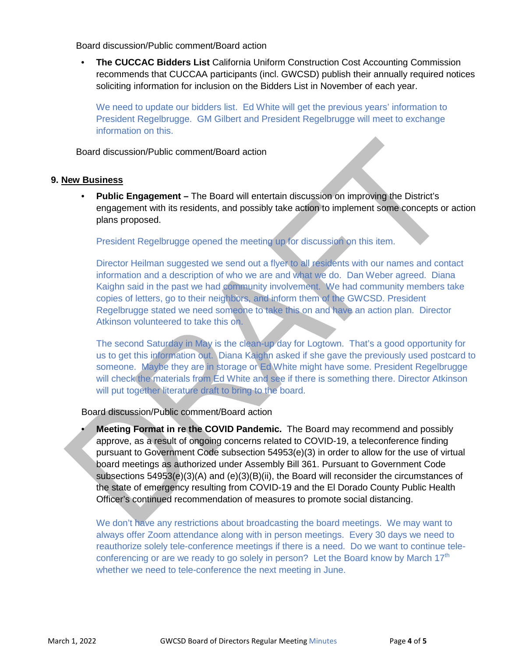Board discussion/Public comment/Board action

• **The CUCCAC Bidders List** California Uniform Construction Cost Accounting Commission recommends that CUCCAA participants (incl. GWCSD) publish their annually required notices soliciting information for inclusion on the Bidders List in November of each year.

We need to update our bidders list. Ed White will get the previous years' information to President Regelbrugge. GM Gilbert and President Regelbrugge will meet to exchange information on this.

Board discussion/Public comment/Board action

#### **9. New Business**

• **Public Engagement –** The Board will entertain discussion on improving the District's engagement with its residents, and possibly take action to implement some concepts or action plans proposed.

President Regelbrugge opened the meeting up for discussion on this item.

Director Heilman suggested we send out a flyer to all residents with our names and contact information and a description of who we are and what we do. Dan Weber agreed. Diana Kaighn said in the past we had community involvement. We had community members take copies of letters, go to their neighbors, and inform them of the GWCSD. President Regelbrugge stated we need someone to take this on and have an action plan. Director Atkinson volunteered to take this on.

The second Saturday in May is the clean-up day for Logtown. That's a good opportunity for us to get this information out. Diana Kaighn asked if she gave the previously used postcard to someone. Maybe they are in storage or Ed White might have some. President Regelbrugge will check the materials from Ed White and see if there is something there. Director Atkinson will put together literature draft to bring to the board.

Board discussion/Public comment/Board action

• **Meeting Format in re the COVID Pandemic.** The Board may recommend and possibly approve, as a result of ongoing concerns related to COVID-19, a teleconference finding pursuant to Government Code subsection 54953(e)(3) in order to allow for the use of virtual board meetings as authorized under Assembly Bill 361. Pursuant to Government Code subsections 54953(e)(3)(A) and (e)(3)(B)(ii), the Board will reconsider the circumstances of the state of emergency resulting from COVID-19 and the El Dorado County Public Health Officer's continued recommendation of measures to promote social distancing.

We don't have any restrictions about broadcasting the board meetings. We may want to always offer Zoom attendance along with in person meetings. Every 30 days we need to reauthorize solely tele-conference meetings if there is a need. Do we want to continue teleconferencing or are we ready to go solely in person? Let the Board know by March  $17<sup>th</sup>$ whether we need to tele-conference the next meeting in June.